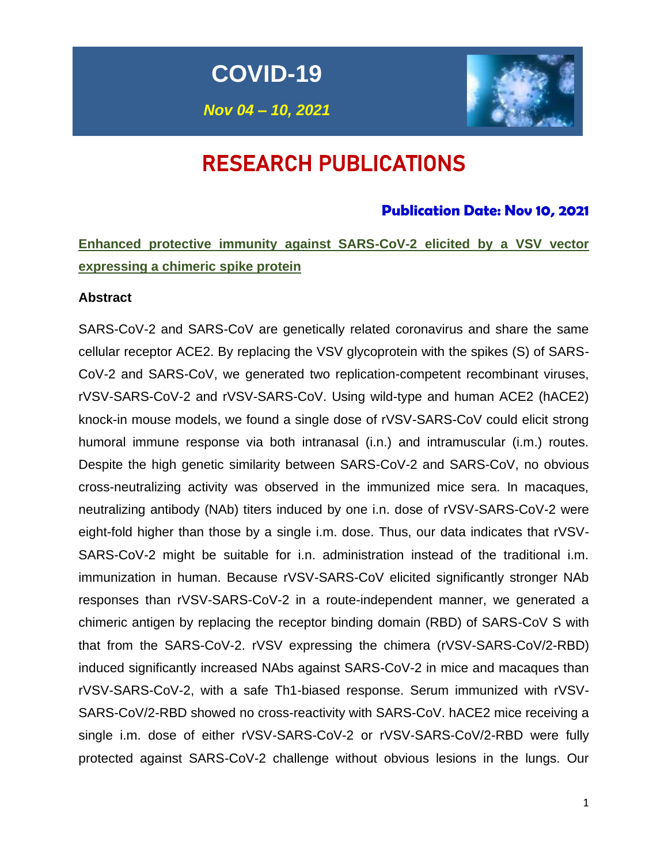**COVID-19**

*Nov 04 – 10, 2021*



# RESEARCH PUBLICATIONS

# **Publication Date: Nov 10, 2021**

**Enhanced protective immunity against SARS-CoV-2 elicited by a VSV vector expressing a chimeric spike protein**

#### **Abstract**

SARS-CoV-2 and SARS-CoV are genetically related coronavirus and share the same cellular receptor ACE2. By replacing the VSV glycoprotein with the spikes (S) of SARS-CoV-2 and SARS-CoV, we generated two replication-competent recombinant viruses, rVSV-SARS-CoV-2 and rVSV-SARS-CoV. Using wild-type and human ACE2 (hACE2) knock-in mouse models, we found a single dose of rVSV-SARS-CoV could elicit strong humoral immune response via both intranasal (i.n.) and intramuscular (i.m.) routes. Despite the high genetic similarity between SARS-CoV-2 and SARS-CoV, no obvious cross-neutralizing activity was observed in the immunized mice sera. In macaques, neutralizing antibody (NAb) titers induced by one i.n. dose of rVSV-SARS-CoV-2 were eight-fold higher than those by a single i.m. dose. Thus, our data indicates that rVSV-SARS-CoV-2 might be suitable for i.n. administration instead of the traditional i.m. immunization in human. Because rVSV-SARS-CoV elicited significantly stronger NAb responses than rVSV-SARS-CoV-2 in a route-independent manner, we generated a chimeric antigen by replacing the receptor binding domain (RBD) of SARS-CoV S with that from the SARS-CoV-2. rVSV expressing the chimera (rVSV-SARS-CoV/2-RBD) induced significantly increased NAbs against SARS-CoV-2 in mice and macaques than rVSV-SARS-CoV-2, with a safe Th1-biased response. Serum immunized with rVSV-SARS-CoV/2-RBD showed no cross-reactivity with SARS-CoV. hACE2 mice receiving a single i.m. dose of either rVSV-SARS-CoV-2 or rVSV-SARS-CoV/2-RBD were fully protected against SARS-CoV-2 challenge without obvious lesions in the lungs. Our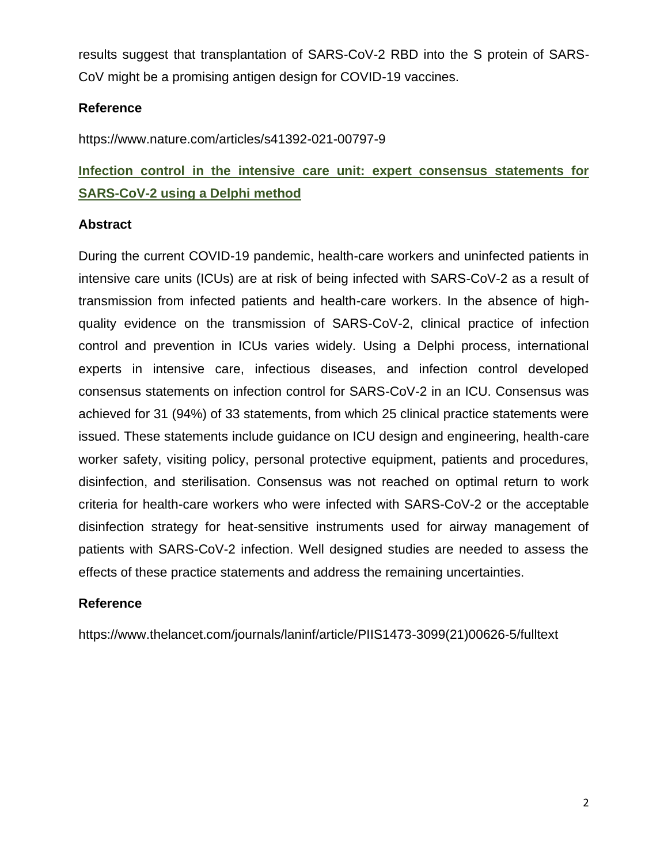results suggest that transplantation of SARS-CoV-2 RBD into the S protein of SARS-CoV might be a promising antigen design for COVID-19 vaccines.

# **Reference**

https://www.nature.com/articles/s41392-021-00797-9

# **Infection control in the intensive care unit: expert consensus statements for SARS-CoV-2 using a Delphi method**

## **Abstract**

During the current COVID-19 pandemic, health-care workers and uninfected patients in intensive care units (ICUs) are at risk of being infected with SARS-CoV-2 as a result of transmission from infected patients and health-care workers. In the absence of highquality evidence on the transmission of SARS-CoV-2, clinical practice of infection control and prevention in ICUs varies widely. Using a Delphi process, international experts in intensive care, infectious diseases, and infection control developed consensus statements on infection control for SARS-CoV-2 in an ICU. Consensus was achieved for 31 (94%) of 33 statements, from which 25 clinical practice statements were issued. These statements include guidance on ICU design and engineering, health-care worker safety, visiting policy, personal protective equipment, patients and procedures, disinfection, and sterilisation. Consensus was not reached on optimal return to work criteria for health-care workers who were infected with SARS-CoV-2 or the acceptable disinfection strategy for heat-sensitive instruments used for airway management of patients with SARS-CoV-2 infection. Well designed studies are needed to assess the effects of these practice statements and address the remaining uncertainties.

## **Reference**

https://www.thelancet.com/journals/laninf/article/PIIS1473-3099(21)00626-5/fulltext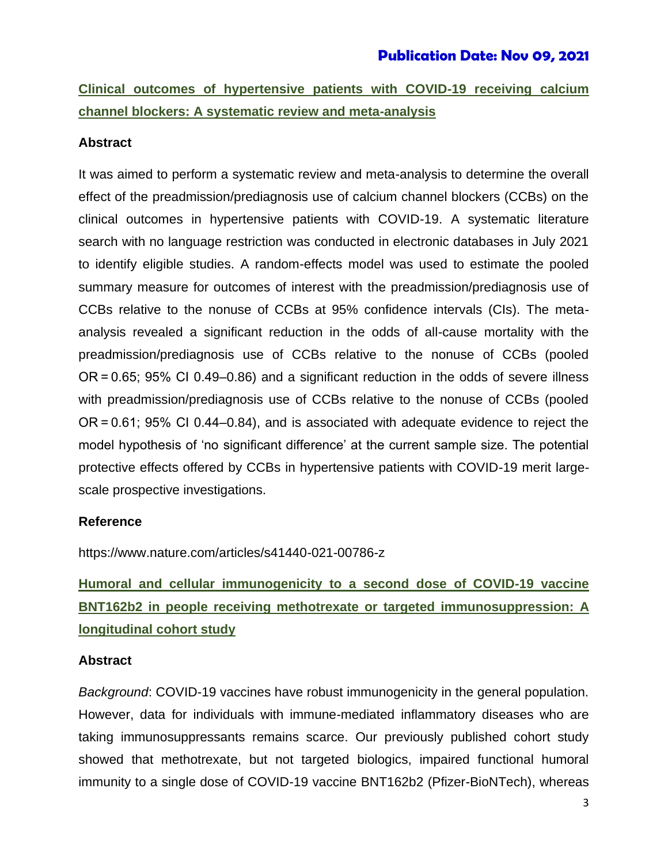# **Clinical outcomes of hypertensive patients with COVID-19 receiving calcium channel blockers: A systematic review and meta-analysis**

# **Abstract**

It was aimed to perform a systematic review and meta-analysis to determine the overall effect of the preadmission/prediagnosis use of calcium channel blockers (CCBs) on the clinical outcomes in hypertensive patients with COVID-19. A systematic literature search with no language restriction was conducted in electronic databases in July 2021 to identify eligible studies. A random-effects model was used to estimate the pooled summary measure for outcomes of interest with the preadmission/prediagnosis use of CCBs relative to the nonuse of CCBs at 95% confidence intervals (CIs). The metaanalysis revealed a significant reduction in the odds of all-cause mortality with the preadmission/prediagnosis use of CCBs relative to the nonuse of CCBs (pooled OR = 0.65; 95% CI 0.49–0.86) and a significant reduction in the odds of severe illness with preadmission/prediagnosis use of CCBs relative to the nonuse of CCBs (pooled OR = 0.61; 95% CI 0.44–0.84), and is associated with adequate evidence to reject the model hypothesis of 'no significant difference' at the current sample size. The potential protective effects offered by CCBs in hypertensive patients with COVID-19 merit largescale prospective investigations.

## **Reference**

https://www.nature.com/articles/s41440-021-00786-z

# **Humoral and cellular immunogenicity to a second dose of COVID-19 vaccine BNT162b2 in people receiving methotrexate or targeted immunosuppression: A longitudinal cohort study**

## **Abstract**

*Background*: COVID-19 vaccines have robust immunogenicity in the general population. However, data for individuals with immune-mediated inflammatory diseases who are taking immunosuppressants remains scarce. Our previously published cohort study showed that methotrexate, but not targeted biologics, impaired functional humoral immunity to a single dose of COVID-19 vaccine BNT162b2 (Pfizer-BioNTech), whereas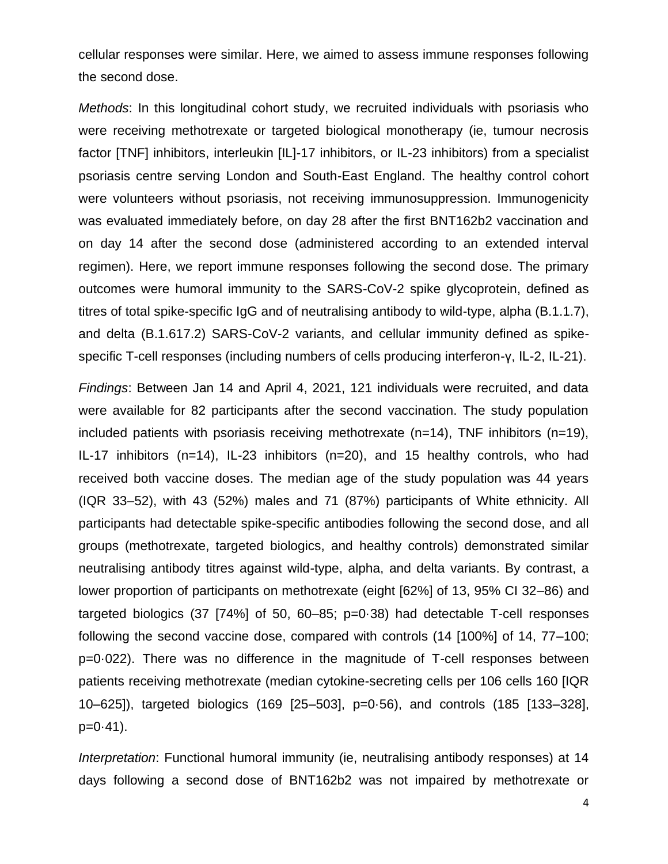cellular responses were similar. Here, we aimed to assess immune responses following the second dose.

*Methods*: In this longitudinal cohort study, we recruited individuals with psoriasis who were receiving methotrexate or targeted biological monotherapy (ie, tumour necrosis factor [TNF] inhibitors, interleukin [IL]-17 inhibitors, or IL-23 inhibitors) from a specialist psoriasis centre serving London and South-East England. The healthy control cohort were volunteers without psoriasis, not receiving immunosuppression. Immunogenicity was evaluated immediately before, on day 28 after the first BNT162b2 vaccination and on day 14 after the second dose (administered according to an extended interval regimen). Here, we report immune responses following the second dose. The primary outcomes were humoral immunity to the SARS-CoV-2 spike glycoprotein, defined as titres of total spike-specific IgG and of neutralising antibody to wild-type, alpha (B.1.1.7), and delta (B.1.617.2) SARS-CoV-2 variants, and cellular immunity defined as spikespecific T-cell responses (including numbers of cells producing interferon-γ, IL-2, IL-21).

*Findings*: Between Jan 14 and April 4, 2021, 121 individuals were recruited, and data were available for 82 participants after the second vaccination. The study population included patients with psoriasis receiving methotrexate (n=14), TNF inhibitors (n=19), IL-17 inhibitors (n=14), IL-23 inhibitors (n=20), and 15 healthy controls, who had received both vaccine doses. The median age of the study population was 44 years (IQR 33–52), with 43 (52%) males and 71 (87%) participants of White ethnicity. All participants had detectable spike-specific antibodies following the second dose, and all groups (methotrexate, targeted biologics, and healthy controls) demonstrated similar neutralising antibody titres against wild-type, alpha, and delta variants. By contrast, a lower proportion of participants on methotrexate (eight [62%] of 13, 95% CI 32–86) and targeted biologics (37 [74%] of 50, 60–85; p=0·38) had detectable T-cell responses following the second vaccine dose, compared with controls (14 [100%] of 14, 77–100; p=0·022). There was no difference in the magnitude of T-cell responses between patients receiving methotrexate (median cytokine-secreting cells per 106 cells 160 [IQR 10–625]), targeted biologics (169 [25–503], p=0·56), and controls (185 [133–328],  $p=0.41$ ).

*Interpretation*: Functional humoral immunity (ie, neutralising antibody responses) at 14 days following a second dose of BNT162b2 was not impaired by methotrexate or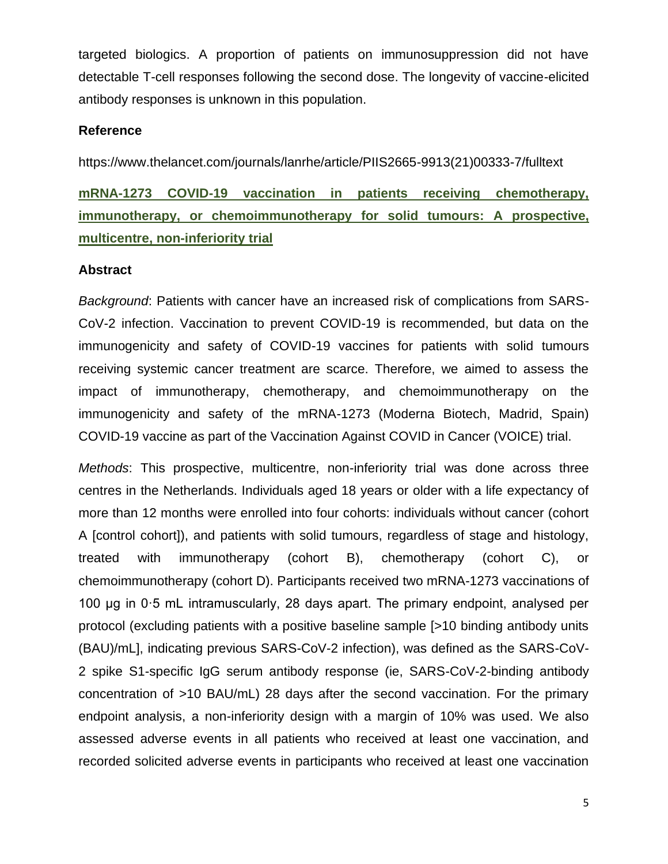targeted biologics. A proportion of patients on immunosuppression did not have detectable T-cell responses following the second dose. The longevity of vaccine-elicited antibody responses is unknown in this population.

## **Reference**

https://www.thelancet.com/journals/lanrhe/article/PIIS2665-9913(21)00333-7/fulltext

**mRNA-1273 COVID-19 vaccination in patients receiving chemotherapy, immunotherapy, or chemoimmunotherapy for solid tumours: A prospective, multicentre, non-inferiority trial**

# **Abstract**

*Background*: Patients with cancer have an increased risk of complications from SARS-CoV-2 infection. Vaccination to prevent COVID-19 is recommended, but data on the immunogenicity and safety of COVID-19 vaccines for patients with solid tumours receiving systemic cancer treatment are scarce. Therefore, we aimed to assess the impact of immunotherapy, chemotherapy, and chemoimmunotherapy on the immunogenicity and safety of the mRNA-1273 (Moderna Biotech, Madrid, Spain) COVID-19 vaccine as part of the Vaccination Against COVID in Cancer (VOICE) trial.

*Methods*: This prospective, multicentre, non-inferiority trial was done across three centres in the Netherlands. Individuals aged 18 years or older with a life expectancy of more than 12 months were enrolled into four cohorts: individuals without cancer (cohort A [control cohort]), and patients with solid tumours, regardless of stage and histology, treated with immunotherapy (cohort B), chemotherapy (cohort C), or chemoimmunotherapy (cohort D). Participants received two mRNA-1273 vaccinations of 100 μg in 0·5 mL intramuscularly, 28 days apart. The primary endpoint, analysed per protocol (excluding patients with a positive baseline sample [>10 binding antibody units (BAU)/mL], indicating previous SARS-CoV-2 infection), was defined as the SARS-CoV-2 spike S1-specific IgG serum antibody response (ie, SARS-CoV-2-binding antibody concentration of >10 BAU/mL) 28 days after the second vaccination. For the primary endpoint analysis, a non-inferiority design with a margin of 10% was used. We also assessed adverse events in all patients who received at least one vaccination, and recorded solicited adverse events in participants who received at least one vaccination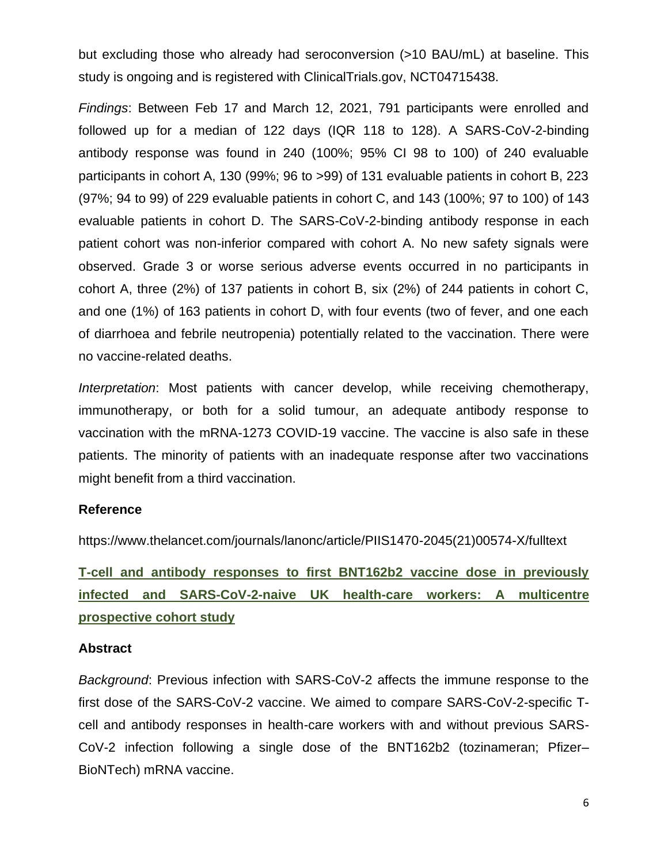but excluding those who already had seroconversion (>10 BAU/mL) at baseline. This study is ongoing and is registered with ClinicalTrials.gov, NCT04715438.

*Findings*: Between Feb 17 and March 12, 2021, 791 participants were enrolled and followed up for a median of 122 days (IQR 118 to 128). A SARS-CoV-2-binding antibody response was found in 240 (100%; 95% CI 98 to 100) of 240 evaluable participants in cohort A, 130 (99%; 96 to >99) of 131 evaluable patients in cohort B, 223 (97%; 94 to 99) of 229 evaluable patients in cohort C, and 143 (100%; 97 to 100) of 143 evaluable patients in cohort D. The SARS-CoV-2-binding antibody response in each patient cohort was non-inferior compared with cohort A. No new safety signals were observed. Grade 3 or worse serious adverse events occurred in no participants in cohort A, three (2%) of 137 patients in cohort B, six (2%) of 244 patients in cohort C, and one (1%) of 163 patients in cohort D, with four events (two of fever, and one each of diarrhoea and febrile neutropenia) potentially related to the vaccination. There were no vaccine-related deaths.

*Interpretation*: Most patients with cancer develop, while receiving chemotherapy, immunotherapy, or both for a solid tumour, an adequate antibody response to vaccination with the mRNA-1273 COVID-19 vaccine. The vaccine is also safe in these patients. The minority of patients with an inadequate response after two vaccinations might benefit from a third vaccination.

#### **Reference**

https://www.thelancet.com/journals/lanonc/article/PIIS1470-2045(21)00574-X/fulltext

**T-cell and antibody responses to first BNT162b2 vaccine dose in previously infected and SARS-CoV-2-naive UK health-care workers: A multicentre prospective cohort study**

#### **Abstract**

*Background*: Previous infection with SARS-CoV-2 affects the immune response to the first dose of the SARS-CoV-2 vaccine. We aimed to compare SARS-CoV-2-specific Tcell and antibody responses in health-care workers with and without previous SARS-CoV-2 infection following a single dose of the BNT162b2 (tozinameran; Pfizer– BioNTech) mRNA vaccine.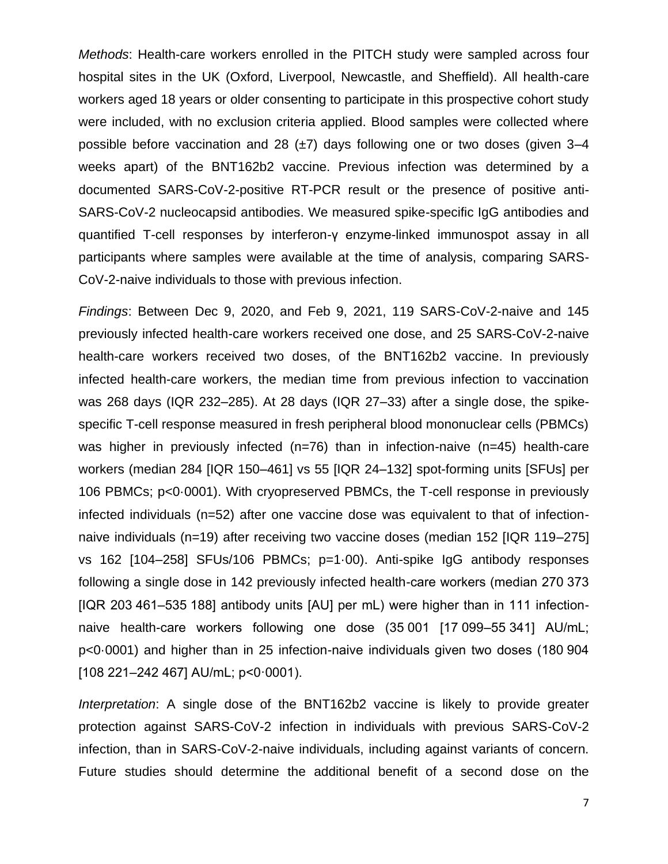*Methods*: Health-care workers enrolled in the PITCH study were sampled across four hospital sites in the UK (Oxford, Liverpool, Newcastle, and Sheffield). All health-care workers aged 18 years or older consenting to participate in this prospective cohort study were included, with no exclusion criteria applied. Blood samples were collected where possible before vaccination and 28  $(\pm 7)$  days following one or two doses (given 3–4 weeks apart) of the BNT162b2 vaccine. Previous infection was determined by a documented SARS-CoV-2-positive RT-PCR result or the presence of positive anti-SARS-CoV-2 nucleocapsid antibodies. We measured spike-specific IgG antibodies and quantified T-cell responses by interferon-γ enzyme-linked immunospot assay in all participants where samples were available at the time of analysis, comparing SARS-CoV-2-naive individuals to those with previous infection.

*Findings*: Between Dec 9, 2020, and Feb 9, 2021, 119 SARS-CoV-2-naive and 145 previously infected health-care workers received one dose, and 25 SARS-CoV-2-naive health-care workers received two doses, of the BNT162b2 vaccine. In previously infected health-care workers, the median time from previous infection to vaccination was 268 days (IQR 232–285). At 28 days (IQR 27–33) after a single dose, the spikespecific T-cell response measured in fresh peripheral blood mononuclear cells (PBMCs) was higher in previously infected (n=76) than in infection-naive (n=45) health-care workers (median 284 [IQR 150–461] vs 55 [IQR 24–132] spot-forming units [SFUs] per 106 PBMCs; p<0·0001). With cryopreserved PBMCs, the T-cell response in previously infected individuals (n=52) after one vaccine dose was equivalent to that of infectionnaive individuals (n=19) after receiving two vaccine doses (median 152 [IQR 119–275] vs 162 [104–258] SFUs/106 PBMCs; p=1·00). Anti-spike IgG antibody responses following a single dose in 142 previously infected health-care workers (median 270 373 [IQR 203 461–535 188] antibody units [AU] per mL) were higher than in 111 infectionnaive health-care workers following one dose (35 001 [17 099–55 341] AU/mL; p<0·0001) and higher than in 25 infection-naive individuals given two doses (180 904 [108 221–242 467] AU/mL; p<0·0001).

*Interpretation*: A single dose of the BNT162b2 vaccine is likely to provide greater protection against SARS-CoV-2 infection in individuals with previous SARS-CoV-2 infection, than in SARS-CoV-2-naive individuals, including against variants of concern. Future studies should determine the additional benefit of a second dose on the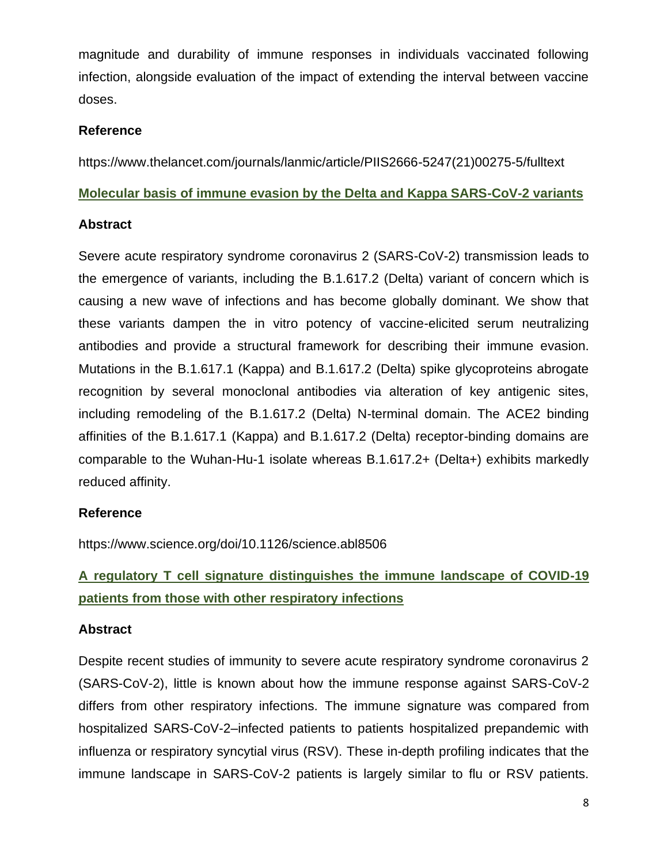magnitude and durability of immune responses in individuals vaccinated following infection, alongside evaluation of the impact of extending the interval between vaccine doses.

# **Reference**

https://www.thelancet.com/journals/lanmic/article/PIIS2666-5247(21)00275-5/fulltext

# **Molecular basis of immune evasion by the Delta and Kappa SARS-CoV-2 variants**

# **Abstract**

Severe acute respiratory syndrome coronavirus 2 (SARS-CoV-2) transmission leads to the emergence of variants, including the B.1.617.2 (Delta) variant of concern which is causing a new wave of infections and has become globally dominant. We show that these variants dampen the in vitro potency of vaccine-elicited serum neutralizing antibodies and provide a structural framework for describing their immune evasion. Mutations in the B.1.617.1 (Kappa) and B.1.617.2 (Delta) spike glycoproteins abrogate recognition by several monoclonal antibodies via alteration of key antigenic sites, including remodeling of the B.1.617.2 (Delta) N-terminal domain. The ACE2 binding affinities of the B.1.617.1 (Kappa) and B.1.617.2 (Delta) receptor-binding domains are comparable to the Wuhan-Hu-1 isolate whereas B.1.617.2+ (Delta+) exhibits markedly reduced affinity.

# **Reference**

https://www.science.org/doi/10.1126/science.abl8506

# **A regulatory T cell signature distinguishes the immune landscape of COVID-19 patients from those with other respiratory infections**

# **Abstract**

Despite recent studies of immunity to severe acute respiratory syndrome coronavirus 2 (SARS-CoV-2), little is known about how the immune response against SARS-CoV-2 differs from other respiratory infections. The immune signature was compared from hospitalized SARS-CoV-2–infected patients to patients hospitalized prepandemic with influenza or respiratory syncytial virus (RSV). These in-depth profiling indicates that the immune landscape in SARS-CoV-2 patients is largely similar to flu or RSV patients.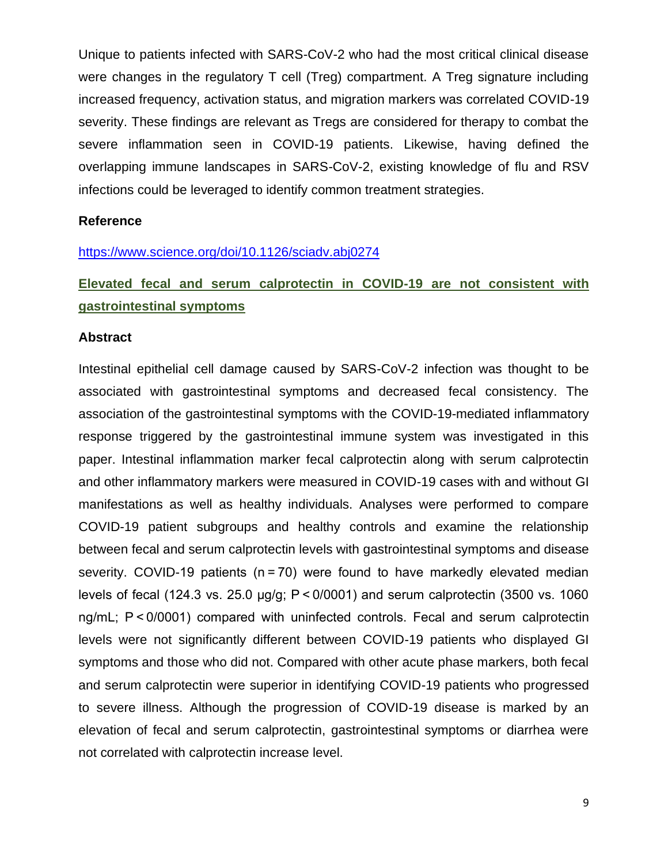Unique to patients infected with SARS-CoV-2 who had the most critical clinical disease were changes in the regulatory T cell (Treg) compartment. A Treg signature including increased frequency, activation status, and migration markers was correlated COVID-19 severity. These findings are relevant as Tregs are considered for therapy to combat the severe inflammation seen in COVID-19 patients. Likewise, having defined the overlapping immune landscapes in SARS-CoV-2, existing knowledge of flu and RSV infections could be leveraged to identify common treatment strategies.

#### **Reference**

#### <https://www.science.org/doi/10.1126/sciadv.abj0274>

# **Elevated fecal and serum calprotectin in COVID-19 are not consistent with gastrointestinal symptoms**

#### **Abstract**

Intestinal epithelial cell damage caused by SARS-CoV-2 infection was thought to be associated with gastrointestinal symptoms and decreased fecal consistency. The association of the gastrointestinal symptoms with the COVID-19-mediated inflammatory response triggered by the gastrointestinal immune system was investigated in this paper. Intestinal inflammation marker fecal calprotectin along with serum calprotectin and other inflammatory markers were measured in COVID-19 cases with and without GI manifestations as well as healthy individuals. Analyses were performed to compare COVID-19 patient subgroups and healthy controls and examine the relationship between fecal and serum calprotectin levels with gastrointestinal symptoms and disease severity. COVID-19 patients (n = 70) were found to have markedly elevated median levels of fecal (124.3 vs. 25.0 µg/g; P < 0/0001) and serum calprotectin (3500 vs. 1060 ng/mL; P < 0/0001) compared with uninfected controls. Fecal and serum calprotectin levels were not significantly different between COVID-19 patients who displayed GI symptoms and those who did not. Compared with other acute phase markers, both fecal and serum calprotectin were superior in identifying COVID-19 patients who progressed to severe illness. Although the progression of COVID-19 disease is marked by an elevation of fecal and serum calprotectin, gastrointestinal symptoms or diarrhea were not correlated with calprotectin increase level.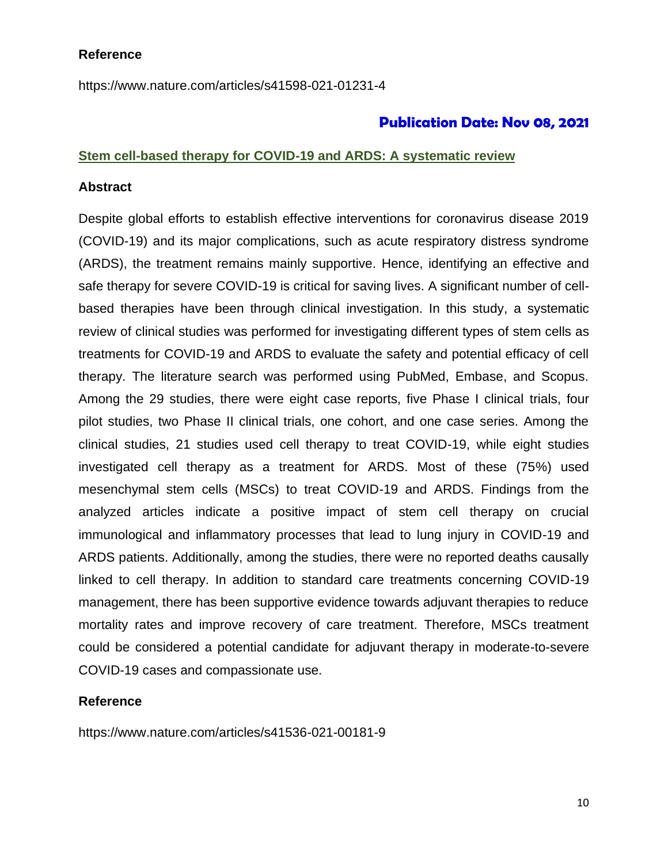### **Reference**

https://www.nature.com/articles/s41598-021-01231-4

# **Publication Date: Nov 08, 2021**

#### **Stem cell-based therapy for COVID-19 and ARDS: A systematic review**

#### **Abstract**

Despite global efforts to establish effective interventions for coronavirus disease 2019 (COVID-19) and its major complications, such as acute respiratory distress syndrome (ARDS), the treatment remains mainly supportive. Hence, identifying an effective and safe therapy for severe COVID-19 is critical for saving lives. A significant number of cellbased therapies have been through clinical investigation. In this study, a systematic review of clinical studies was performed for investigating different types of stem cells as treatments for COVID-19 and ARDS to evaluate the safety and potential efficacy of cell therapy. The literature search was performed using PubMed, Embase, and Scopus. Among the 29 studies, there were eight case reports, five Phase I clinical trials, four pilot studies, two Phase II clinical trials, one cohort, and one case series. Among the clinical studies, 21 studies used cell therapy to treat COVID-19, while eight studies investigated cell therapy as a treatment for ARDS. Most of these (75%) used mesenchymal stem cells (MSCs) to treat COVID-19 and ARDS. Findings from the analyzed articles indicate a positive impact of stem cell therapy on crucial immunological and inflammatory processes that lead to lung injury in COVID-19 and ARDS patients. Additionally, among the studies, there were no reported deaths causally linked to cell therapy. In addition to standard care treatments concerning COVID-19 management, there has been supportive evidence towards adjuvant therapies to reduce mortality rates and improve recovery of care treatment. Therefore, MSCs treatment could be considered a potential candidate for adjuvant therapy in moderate-to-severe COVID-19 cases and compassionate use.

## **Reference**

https://www.nature.com/articles/s41536-021-00181-9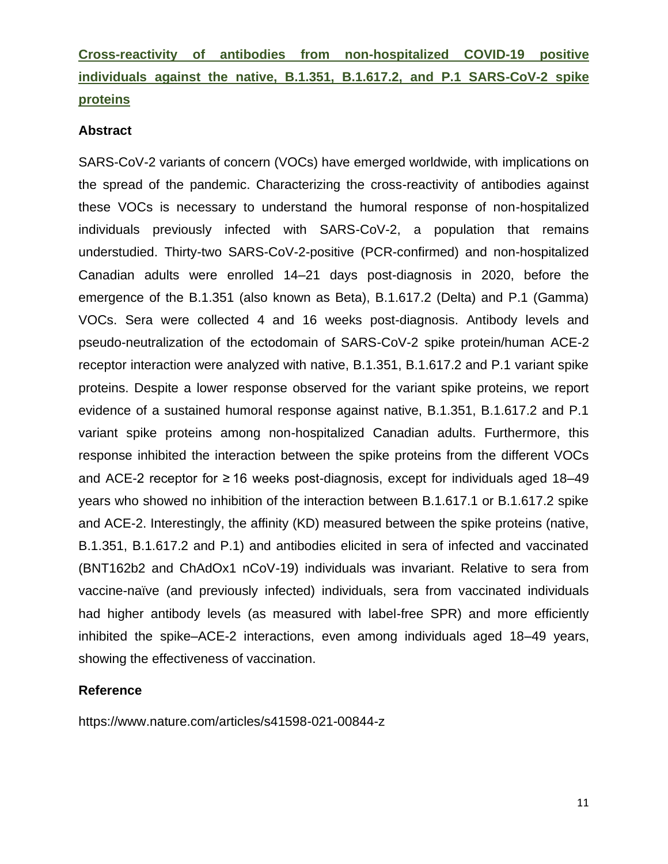**Cross-reactivity of antibodies from non-hospitalized COVID-19 positive individuals against the native, B.1.351, B.1.617.2, and P.1 SARS-CoV-2 spike proteins**

#### **Abstract**

SARS-CoV-2 variants of concern (VOCs) have emerged worldwide, with implications on the spread of the pandemic. Characterizing the cross-reactivity of antibodies against these VOCs is necessary to understand the humoral response of non-hospitalized individuals previously infected with SARS-CoV-2, a population that remains understudied. Thirty-two SARS-CoV-2-positive (PCR-confirmed) and non-hospitalized Canadian adults were enrolled 14–21 days post-diagnosis in 2020, before the emergence of the B.1.351 (also known as Beta), B.1.617.2 (Delta) and P.1 (Gamma) VOCs. Sera were collected 4 and 16 weeks post-diagnosis. Antibody levels and pseudo-neutralization of the ectodomain of SARS-CoV-2 spike protein/human ACE-2 receptor interaction were analyzed with native, B.1.351, B.1.617.2 and P.1 variant spike proteins. Despite a lower response observed for the variant spike proteins, we report evidence of a sustained humoral response against native, B.1.351, B.1.617.2 and P.1 variant spike proteins among non-hospitalized Canadian adults. Furthermore, this response inhibited the interaction between the spike proteins from the different VOCs and ACE-2 receptor for  $\geq 16$  weeks post-diagnosis, except for individuals aged 18–49 years who showed no inhibition of the interaction between B.1.617.1 or B.1.617.2 spike and ACE-2. Interestingly, the affinity (KD) measured between the spike proteins (native, B.1.351, B.1.617.2 and P.1) and antibodies elicited in sera of infected and vaccinated (BNT162b2 and ChAdOx1 nCoV-19) individuals was invariant. Relative to sera from vaccine-naïve (and previously infected) individuals, sera from vaccinated individuals had higher antibody levels (as measured with label-free SPR) and more efficiently inhibited the spike–ACE-2 interactions, even among individuals aged 18–49 years, showing the effectiveness of vaccination.

## **Reference**

<https://www.nature.com/articles/s41598-021-00844-z>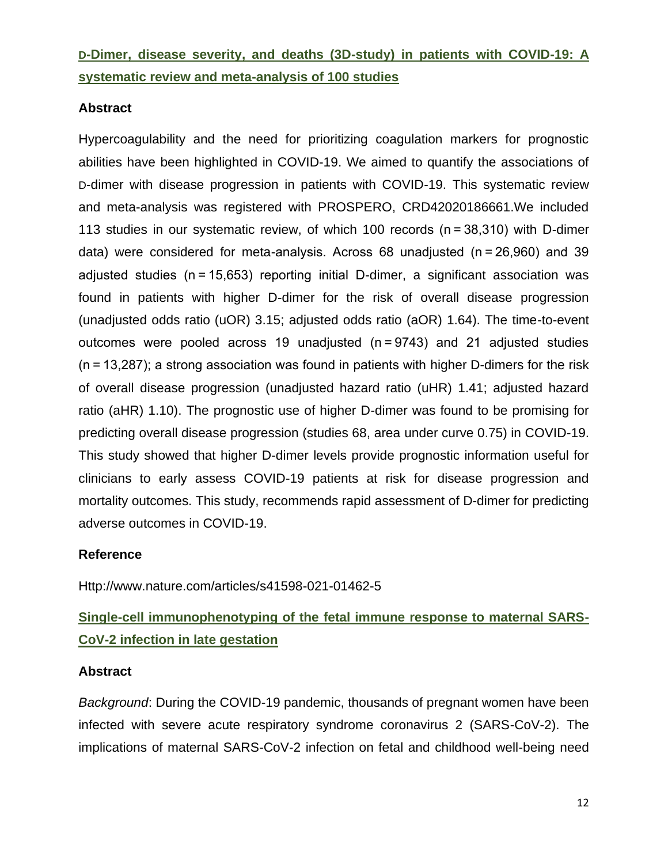# **D-Dimer, disease severity, and deaths (3D-study) in patients with COVID-19: A systematic review and meta-analysis of 100 studies**

# **Abstract**

Hypercoagulability and the need for prioritizing coagulation markers for prognostic abilities have been highlighted in COVID-19. We aimed to quantify the associations of D-dimer with disease progression in patients with COVID-19. This systematic review and meta-analysis was registered with PROSPERO, CRD42020186661.We included 113 studies in our systematic review, of which 100 records (n = 38,310) with D-dimer data) were considered for meta-analysis. Across 68 unadjusted (n = 26,960) and 39 adjusted studies (n = 15,653) reporting initial D-dimer, a significant association was found in patients with higher D-dimer for the risk of overall disease progression (unadjusted odds ratio (uOR) 3.15; adjusted odds ratio (aOR) 1.64). The time-to-event outcomes were pooled across 19 unadjusted (n = 9743) and 21 adjusted studies (n = 13,287); a strong association was found in patients with higher D-dimers for the risk of overall disease progression (unadjusted hazard ratio (uHR) 1.41; adjusted hazard ratio (aHR) 1.10). The prognostic use of higher D-dimer was found to be promising for predicting overall disease progression (studies 68, area under curve 0.75) in COVID-19. This study showed that higher D-dimer levels provide prognostic information useful for clinicians to early assess COVID-19 patients at risk for disease progression and mortality outcomes. This study, recommends rapid assessment of D-dimer for predicting adverse outcomes in COVID-19.

## **Reference**

Http://www.nature.com/articles/s41598-021-01462-5

# **Single-cell immunophenotyping of the fetal immune response to maternal SARS-CoV-2 infection in late gestation**

## **Abstract**

*Background*: During the COVID-19 pandemic, thousands of pregnant women have been infected with severe acute respiratory syndrome coronavirus 2 (SARS-CoV-2). The implications of maternal SARS-CoV-2 infection on fetal and childhood well-being need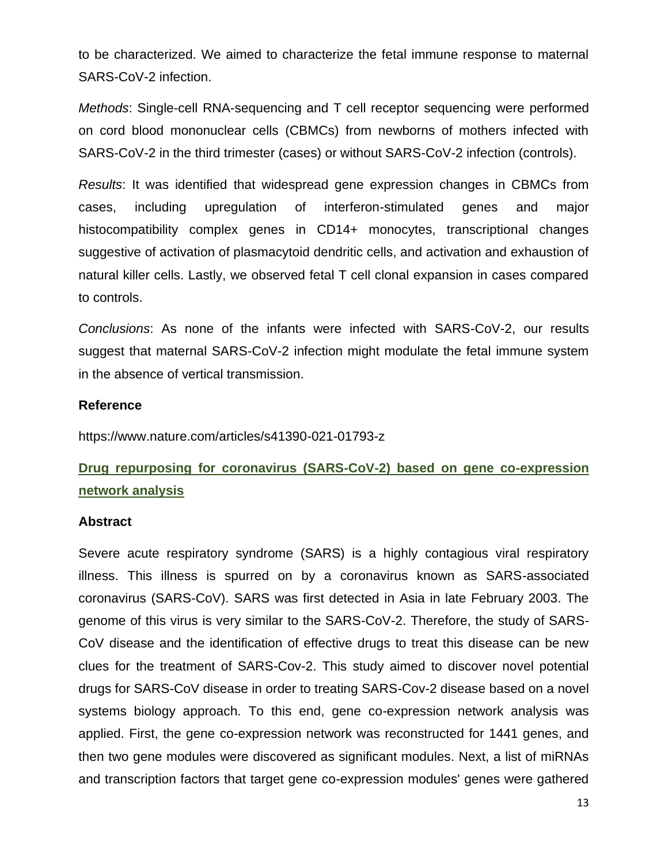to be characterized. We aimed to characterize the fetal immune response to maternal SARS-CoV-2 infection.

*Methods*: Single-cell RNA-sequencing and T cell receptor sequencing were performed on cord blood mononuclear cells (CBMCs) from newborns of mothers infected with SARS-CoV-2 in the third trimester (cases) or without SARS-CoV-2 infection (controls).

*Results*: It was identified that widespread gene expression changes in CBMCs from cases, including upregulation of interferon-stimulated genes and major histocompatibility complex genes in CD14+ monocytes, transcriptional changes suggestive of activation of plasmacytoid dendritic cells, and activation and exhaustion of natural killer cells. Lastly, we observed fetal T cell clonal expansion in cases compared to controls.

*Conclusions*: As none of the infants were infected with SARS-CoV-2, our results suggest that maternal SARS-CoV-2 infection might modulate the fetal immune system in the absence of vertical transmission.

#### **Reference**

<https://www.nature.com/articles/s41390-021-01793-z>

# **Drug repurposing for coronavirus (SARS-CoV-2) based on gene co-expression network analysis**

#### **Abstract**

Severe acute respiratory syndrome (SARS) is a highly contagious viral respiratory illness. This illness is spurred on by a coronavirus known as SARS-associated coronavirus (SARS-CoV). SARS was first detected in Asia in late February 2003. The genome of this virus is very similar to the SARS-CoV-2. Therefore, the study of SARS-CoV disease and the identification of effective drugs to treat this disease can be new clues for the treatment of SARS-Cov-2. This study aimed to discover novel potential drugs for SARS-CoV disease in order to treating SARS-Cov-2 disease based on a novel systems biology approach. To this end, gene co-expression network analysis was applied. First, the gene co-expression network was reconstructed for 1441 genes, and then two gene modules were discovered as significant modules. Next, a list of miRNAs and transcription factors that target gene co-expression modules' genes were gathered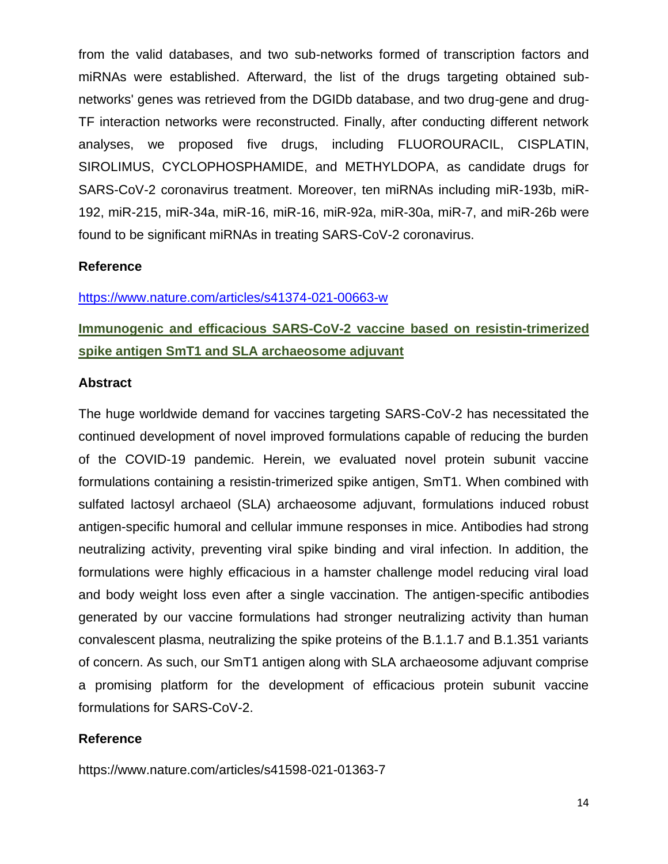from the valid databases, and two sub-networks formed of transcription factors and miRNAs were established. Afterward, the list of the drugs targeting obtained subnetworks' genes was retrieved from the DGIDb database, and two drug-gene and drug-TF interaction networks were reconstructed. Finally, after conducting different network analyses, we proposed five drugs, including FLUOROURACIL, CISPLATIN, SIROLIMUS, CYCLOPHOSPHAMIDE, and METHYLDOPA, as candidate drugs for SARS-CoV-2 coronavirus treatment. Moreover, ten miRNAs including miR-193b, miR-192, miR-215, miR-34a, miR-16, miR-16, miR-92a, miR-30a, miR-7, and miR-26b were found to be significant miRNAs in treating SARS-CoV-2 coronavirus.

#### **Reference**

#### <https://www.nature.com/articles/s41374-021-00663-w>

# **Immunogenic and efficacious SARS-CoV-2 vaccine based on resistin-trimerized spike antigen SmT1 and SLA archaeosome adjuvant**

#### **Abstract**

The huge worldwide demand for vaccines targeting SARS-CoV-2 has necessitated the continued development of novel improved formulations capable of reducing the burden of the COVID-19 pandemic. Herein, we evaluated novel protein subunit vaccine formulations containing a resistin-trimerized spike antigen, SmT1. When combined with sulfated lactosyl archaeol (SLA) archaeosome adjuvant, formulations induced robust antigen-specific humoral and cellular immune responses in mice. Antibodies had strong neutralizing activity, preventing viral spike binding and viral infection. In addition, the formulations were highly efficacious in a hamster challenge model reducing viral load and body weight loss even after a single vaccination. The antigen-specific antibodies generated by our vaccine formulations had stronger neutralizing activity than human convalescent plasma, neutralizing the spike proteins of the B.1.1.7 and B.1.351 variants of concern. As such, our SmT1 antigen along with SLA archaeosome adjuvant comprise a promising platform for the development of efficacious protein subunit vaccine formulations for SARS-CoV-2.

#### **Reference**

https://www.nature.com/articles/s41598-021-01363-7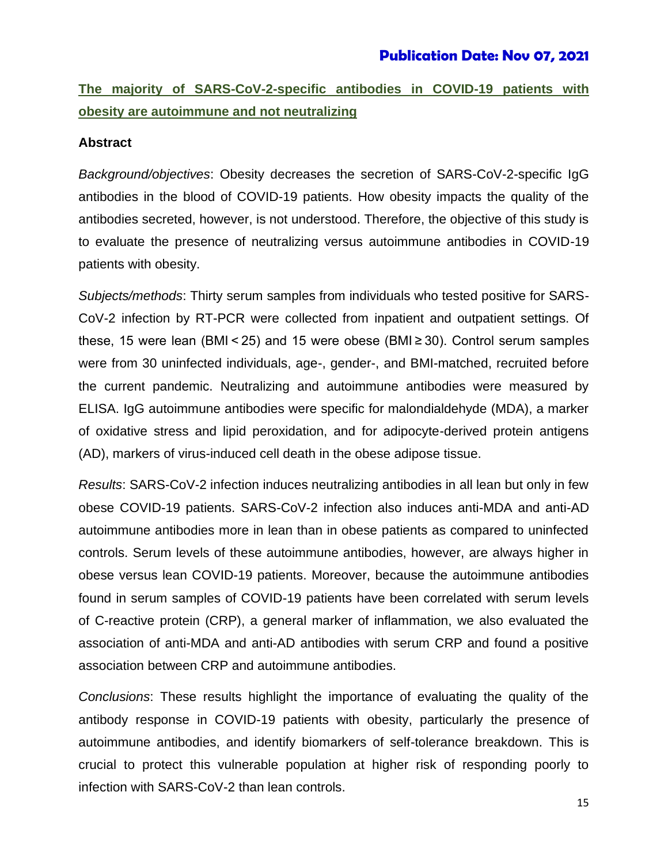# **Publication Date: Nov 07, 2021**

# **The majority of SARS-CoV-2-specific antibodies in COVID-19 patients with obesity are autoimmune and not neutralizing**

#### **Abstract**

*Background/objectives*: Obesity decreases the secretion of SARS-CoV-2-specific IgG antibodies in the blood of COVID-19 patients. How obesity impacts the quality of the antibodies secreted, however, is not understood. Therefore, the objective of this study is to evaluate the presence of neutralizing versus autoimmune antibodies in COVID-19 patients with obesity.

*Subjects/methods*: Thirty serum samples from individuals who tested positive for SARS-CoV-2 infection by RT-PCR were collected from inpatient and outpatient settings. Of these, 15 were lean (BMI < 25) and 15 were obese (BMI ≥ 30). Control serum samples were from 30 uninfected individuals, age-, gender-, and BMI-matched, recruited before the current pandemic. Neutralizing and autoimmune antibodies were measured by ELISA. IgG autoimmune antibodies were specific for malondialdehyde (MDA), a marker of oxidative stress and lipid peroxidation, and for adipocyte-derived protein antigens (AD), markers of virus-induced cell death in the obese adipose tissue.

*Results*: SARS-CoV-2 infection induces neutralizing antibodies in all lean but only in few obese COVID-19 patients. SARS-CoV-2 infection also induces anti-MDA and anti-AD autoimmune antibodies more in lean than in obese patients as compared to uninfected controls. Serum levels of these autoimmune antibodies, however, are always higher in obese versus lean COVID-19 patients. Moreover, because the autoimmune antibodies found in serum samples of COVID-19 patients have been correlated with serum levels of C-reactive protein (CRP), a general marker of inflammation, we also evaluated the association of anti-MDA and anti-AD antibodies with serum CRP and found a positive association between CRP and autoimmune antibodies.

*Conclusions*: These results highlight the importance of evaluating the quality of the antibody response in COVID-19 patients with obesity, particularly the presence of autoimmune antibodies, and identify biomarkers of self-tolerance breakdown. This is crucial to protect this vulnerable population at higher risk of responding poorly to infection with SARS-CoV-2 than lean controls.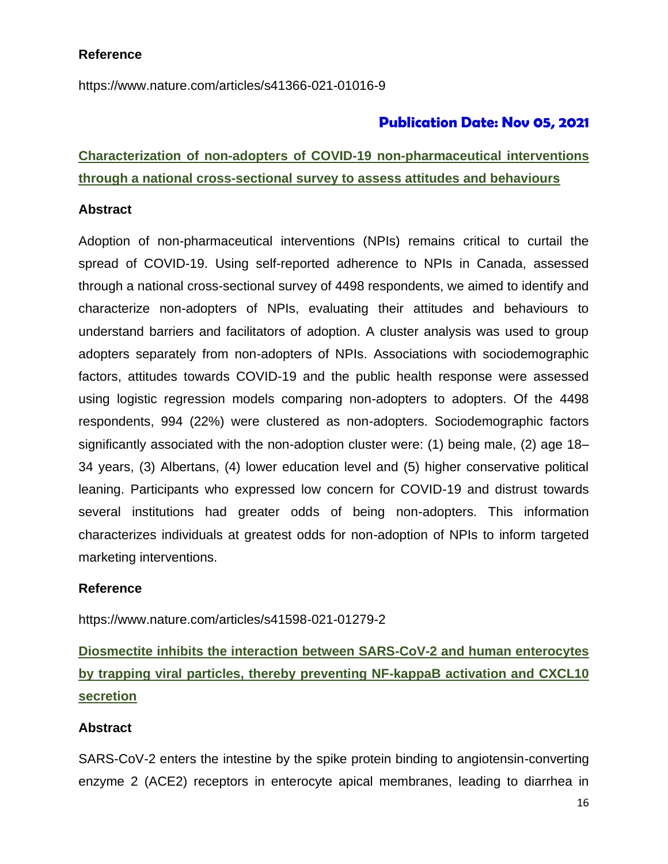# **Reference**

https://www.nature.com/articles/s41366-021-01016-9

# **Publication Date: Nov 05, 2021**

# **Characterization of non-adopters of COVID-19 non-pharmaceutical interventions through a national cross-sectional survey to assess attitudes and behaviours**

#### **Abstract**

Adoption of non-pharmaceutical interventions (NPIs) remains critical to curtail the spread of COVID-19. Using self-reported adherence to NPIs in Canada, assessed through a national cross-sectional survey of 4498 respondents, we aimed to identify and characterize non-adopters of NPIs, evaluating their attitudes and behaviours to understand barriers and facilitators of adoption. A cluster analysis was used to group adopters separately from non-adopters of NPIs. Associations with sociodemographic factors, attitudes towards COVID-19 and the public health response were assessed using logistic regression models comparing non-adopters to adopters. Of the 4498 respondents, 994 (22%) were clustered as non-adopters. Sociodemographic factors significantly associated with the non-adoption cluster were: (1) being male, (2) age 18– 34 years, (3) Albertans, (4) lower education level and (5) higher conservative political leaning. Participants who expressed low concern for COVID-19 and distrust towards several institutions had greater odds of being non-adopters. This information characterizes individuals at greatest odds for non-adoption of NPIs to inform targeted marketing interventions.

## **Reference**

https://www.nature.com/articles/s41598-021-01279-2

**Diosmectite inhibits the interaction between SARS-CoV-2 and human enterocytes by trapping viral particles, thereby preventing NF-kappaB activation and CXCL10 secretion**

## **Abstract**

SARS-CoV-2 enters the intestine by the spike protein binding to angiotensin-converting enzyme 2 (ACE2) receptors in enterocyte apical membranes, leading to diarrhea in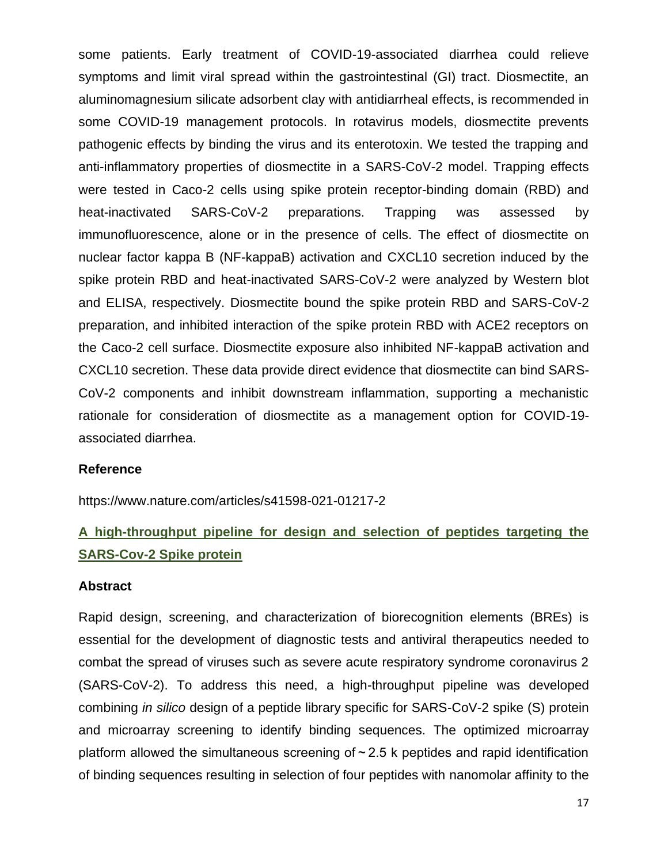some patients. Early treatment of COVID-19-associated diarrhea could relieve symptoms and limit viral spread within the gastrointestinal (GI) tract. Diosmectite, an aluminomagnesium silicate adsorbent clay with antidiarrheal effects, is recommended in some COVID-19 management protocols. In rotavirus models, diosmectite prevents pathogenic effects by binding the virus and its enterotoxin. We tested the trapping and anti-inflammatory properties of diosmectite in a SARS-CoV-2 model. Trapping effects were tested in Caco-2 cells using spike protein receptor-binding domain (RBD) and heat-inactivated SARS-CoV-2 preparations. Trapping was assessed by immunofluorescence, alone or in the presence of cells. The effect of diosmectite on nuclear factor kappa B (NF-kappaB) activation and CXCL10 secretion induced by the spike protein RBD and heat-inactivated SARS-CoV-2 were analyzed by Western blot and ELISA, respectively. Diosmectite bound the spike protein RBD and SARS-CoV-2 preparation, and inhibited interaction of the spike protein RBD with ACE2 receptors on the Caco-2 cell surface. Diosmectite exposure also inhibited NF-kappaB activation and CXCL10 secretion. These data provide direct evidence that diosmectite can bind SARS-CoV-2 components and inhibit downstream inflammation, supporting a mechanistic rationale for consideration of diosmectite as a management option for COVID-19 associated diarrhea.

#### **Reference**

https://www.nature.com/articles/s41598-021-01217-2

# **A high-throughput pipeline for design and selection of peptides targeting the SARS-Cov-2 Spike protein**

#### **Abstract**

Rapid design, screening, and characterization of biorecognition elements (BREs) is essential for the development of diagnostic tests and antiviral therapeutics needed to combat the spread of viruses such as severe acute respiratory syndrome coronavirus 2 (SARS-CoV-2). To address this need, a high-throughput pipeline was developed combining *in silico* design of a peptide library specific for SARS-CoV-2 spike (S) protein and microarray screening to identify binding sequences. The optimized microarray platform allowed the simultaneous screening of  $\sim$  2.5 k peptides and rapid identification of binding sequences resulting in selection of four peptides with nanomolar affinity to the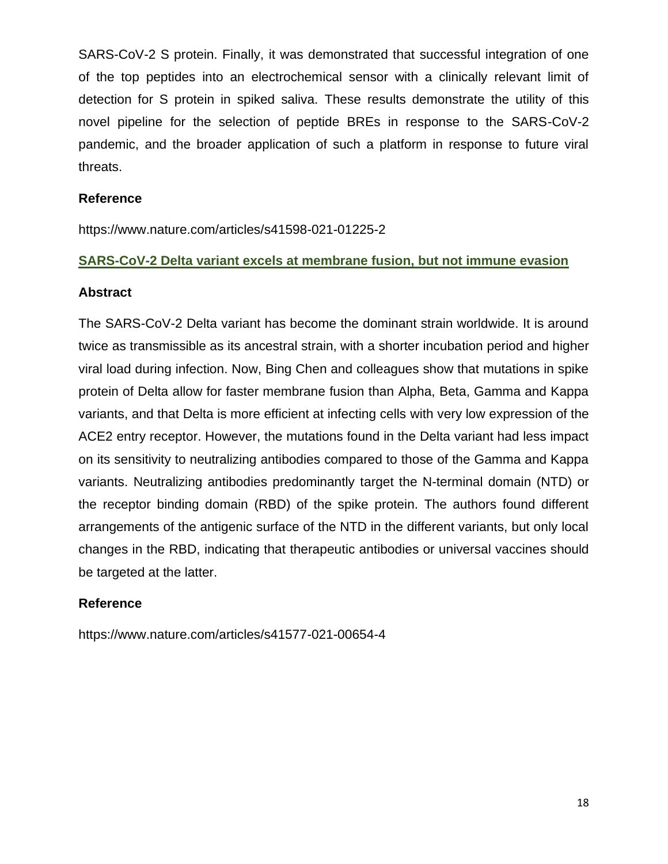SARS-CoV-2 S protein. Finally, it was demonstrated that successful integration of one of the top peptides into an electrochemical sensor with a clinically relevant limit of detection for S protein in spiked saliva. These results demonstrate the utility of this novel pipeline for the selection of peptide BREs in response to the SARS-CoV-2 pandemic, and the broader application of such a platform in response to future viral threats.

#### **Reference**

https://www.nature.com/articles/s41598-021-01225-2

#### **SARS-CoV-2 Delta variant excels at membrane fusion, but not immune evasion**

#### **Abstract**

The SARS-CoV-2 Delta variant has become the dominant strain worldwide. It is around twice as transmissible as its ancestral strain, with a shorter incubation period and higher viral load during infection. Now, Bing Chen and colleagues show that mutations in spike protein of Delta allow for faster membrane fusion than Alpha, Beta, Gamma and Kappa variants, and that Delta is more efficient at infecting cells with very low expression of the ACE2 entry receptor. However, the mutations found in the Delta variant had less impact on its sensitivity to neutralizing antibodies compared to those of the Gamma and Kappa variants. Neutralizing antibodies predominantly target the N-terminal domain (NTD) or the receptor binding domain (RBD) of the spike protein. The authors found different arrangements of the antigenic surface of the NTD in the different variants, but only local changes in the RBD, indicating that therapeutic antibodies or universal vaccines should be targeted at the latter.

## **Reference**

https://www.nature.com/articles/s41577-021-00654-4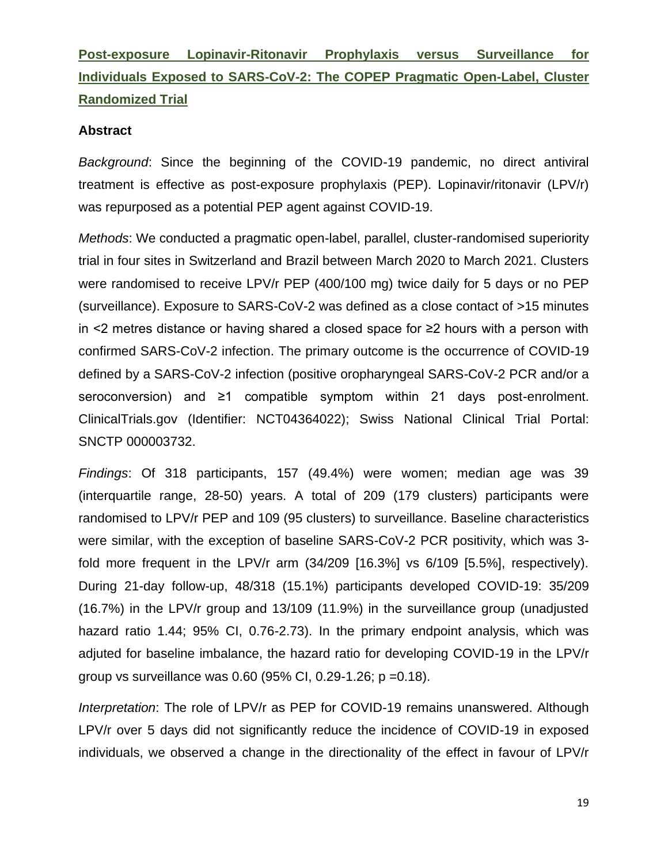# **Post-exposure Lopinavir-Ritonavir Prophylaxis versus Surveillance for Individuals Exposed to SARS-CoV-2: The COPEP Pragmatic Open-Label, Cluster Randomized Trial**

#### **Abstract**

*Background*: Since the beginning of the COVID-19 pandemic, no direct antiviral treatment is effective as post-exposure prophylaxis (PEP). Lopinavir/ritonavir (LPV/r) was repurposed as a potential PEP agent against COVID-19.

*Methods*: We conducted a pragmatic open-label, parallel, cluster-randomised superiority trial in four sites in Switzerland and Brazil between March 2020 to March 2021. Clusters were randomised to receive LPV/r PEP (400/100 mg) twice daily for 5 days or no PEP (surveillance). Exposure to SARS-CoV-2 was defined as a close contact of >15 minutes in <2 metres distance or having shared a closed space for ≥2 hours with a person with confirmed SARS-CoV-2 infection. The primary outcome is the occurrence of COVID-19 defined by a SARS-CoV-2 infection (positive oropharyngeal SARS-CoV-2 PCR and/or a seroconversion) and ≥1 compatible symptom within 21 days post-enrolment. ClinicalTrials.gov (Identifier: NCT04364022); Swiss National Clinical Trial Portal: SNCTP 000003732.

*Findings*: Of 318 participants, 157 (49.4%) were women; median age was 39 (interquartile range, 28-50) years. A total of 209 (179 clusters) participants were randomised to LPV/r PEP and 109 (95 clusters) to surveillance. Baseline characteristics were similar, with the exception of baseline SARS-CoV-2 PCR positivity, which was 3 fold more frequent in the LPV/r arm (34/209 [16.3%] vs 6/109 [5.5%], respectively). During 21-day follow-up, 48/318 (15.1%) participants developed COVID-19: 35/209 (16.7%) in the LPV/r group and 13/109 (11.9%) in the surveillance group (unadjusted hazard ratio 1.44; 95% CI, 0.76-2.73). In the primary endpoint analysis, which was adjuted for baseline imbalance, the hazard ratio for developing COVID-19 in the LPV/r group vs surveillance was 0.60 (95% CI, 0.29-1.26; p =0.18).

*Interpretation*: The role of LPV/r as PEP for COVID-19 remains unanswered. Although LPV/r over 5 days did not significantly reduce the incidence of COVID-19 in exposed individuals, we observed a change in the directionality of the effect in favour of LPV/r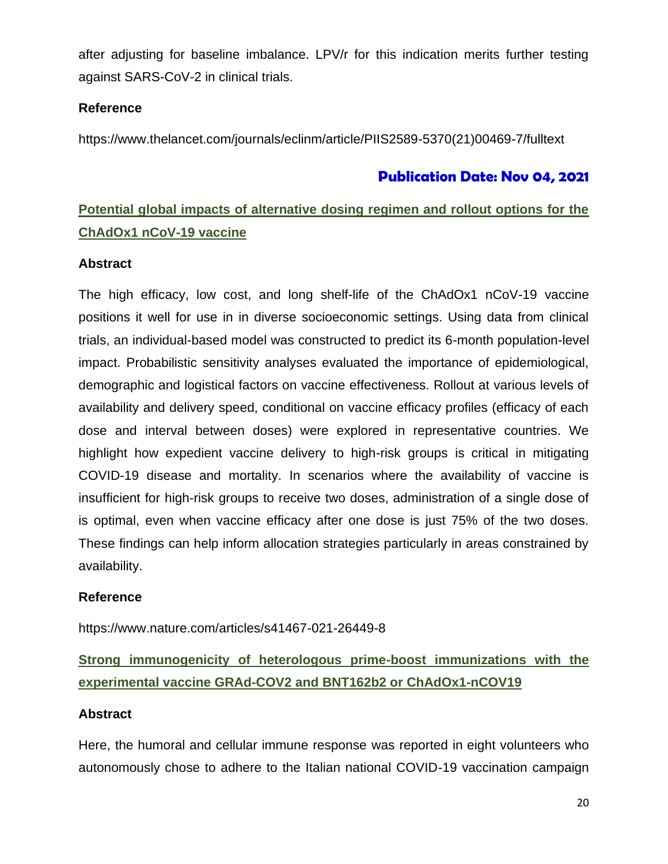after adjusting for baseline imbalance. LPV/r for this indication merits further testing against SARS-CoV-2 in clinical trials.

# **Reference**

https://www.thelancet.com/journals/eclinm/article/PIIS2589-5370(21)00469-7/fulltext

# **Publication Date: Nov 04, 2021**

# **Potential global impacts of alternative dosing regimen and rollout options for the ChAdOx1 nCoV-19 vaccine**

## **Abstract**

The high efficacy, low cost, and long shelf-life of the ChAdOx1 nCoV-19 vaccine positions it well for use in in diverse socioeconomic settings. Using data from clinical trials, an individual-based model was constructed to predict its 6-month population-level impact. Probabilistic sensitivity analyses evaluated the importance of epidemiological, demographic and logistical factors on vaccine effectiveness. Rollout at various levels of availability and delivery speed, conditional on vaccine efficacy profiles (efficacy of each dose and interval between doses) were explored in representative countries. We highlight how expedient vaccine delivery to high-risk groups is critical in mitigating COVID-19 disease and mortality. In scenarios where the availability of vaccine is insufficient for high-risk groups to receive two doses, administration of a single dose of is optimal, even when vaccine efficacy after one dose is just 75% of the two doses. These findings can help inform allocation strategies particularly in areas constrained by availability.

## **Reference**

https://www.nature.com/articles/s41467-021-26449-8

# **Strong immunogenicity of heterologous prime-boost immunizations with the experimental vaccine GRAd-COV2 and BNT162b2 or ChAdOx1-nCOV19**

## **Abstract**

Here, the humoral and cellular immune response was reported in eight volunteers who autonomously chose to adhere to the Italian national COVID-19 vaccination campaign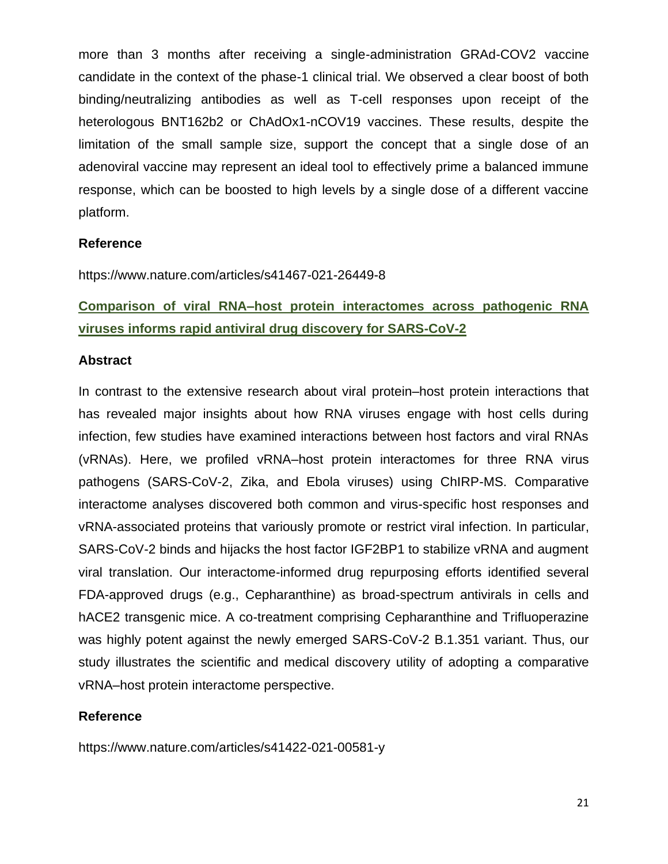more than 3 months after receiving a single-administration GRAd-COV2 vaccine candidate in the context of the phase-1 clinical trial. We observed a clear boost of both binding/neutralizing antibodies as well as T-cell responses upon receipt of the heterologous BNT162b2 or ChAdOx1-nCOV19 vaccines. These results, despite the limitation of the small sample size, support the concept that a single dose of an adenoviral vaccine may represent an ideal tool to effectively prime a balanced immune response, which can be boosted to high levels by a single dose of a different vaccine platform.

## **Reference**

https://www.nature.com/articles/s41467-021-26449-8

**Comparison of viral RNA–host protein interactomes across pathogenic RNA viruses informs rapid antiviral drug discovery for SARS-CoV-2**

#### **Abstract**

In contrast to the extensive research about viral protein–host protein interactions that has revealed major insights about how RNA viruses engage with host cells during infection, few studies have examined interactions between host factors and viral RNAs (vRNAs). Here, we profiled vRNA–host protein interactomes for three RNA virus pathogens (SARS-CoV-2, Zika, and Ebola viruses) using ChIRP-MS. Comparative interactome analyses discovered both common and virus-specific host responses and vRNA-associated proteins that variously promote or restrict viral infection. In particular, SARS-CoV-2 binds and hijacks the host factor IGF2BP1 to stabilize vRNA and augment viral translation. Our interactome-informed drug repurposing efforts identified several FDA-approved drugs (e.g., Cepharanthine) as broad-spectrum antivirals in cells and hACE2 transgenic mice. A co-treatment comprising Cepharanthine and Trifluoperazine was highly potent against the newly emerged SARS-CoV-2 B.1.351 variant. Thus, our study illustrates the scientific and medical discovery utility of adopting a comparative vRNA–host protein interactome perspective.

#### **Reference**

https://www.nature.com/articles/s41422-021-00581-y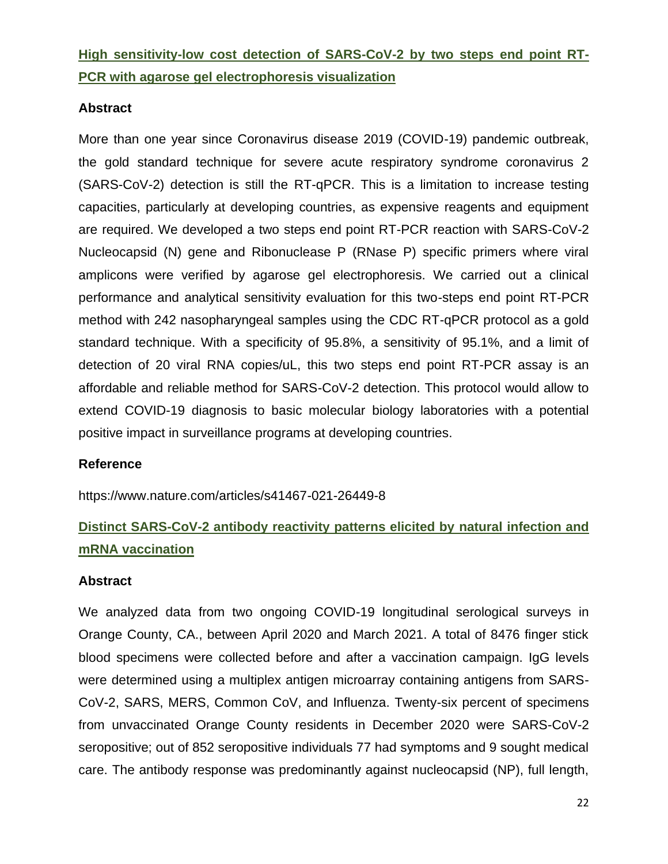**High sensitivity-low cost detection of SARS-CoV-2 by two steps end point RT-PCR with agarose gel electrophoresis visualization**

### **Abstract**

More than one year since Coronavirus disease 2019 (COVID-19) pandemic outbreak, the gold standard technique for severe acute respiratory syndrome coronavirus 2 (SARS-CoV-2) detection is still the RT-qPCR. This is a limitation to increase testing capacities, particularly at developing countries, as expensive reagents and equipment are required. We developed a two steps end point RT-PCR reaction with SARS-CoV-2 Nucleocapsid (N) gene and Ribonuclease P (RNase P) specific primers where viral amplicons were verified by agarose gel electrophoresis. We carried out a clinical performance and analytical sensitivity evaluation for this two-steps end point RT-PCR method with 242 nasopharyngeal samples using the CDC RT-qPCR protocol as a gold standard technique. With a specificity of 95.8%, a sensitivity of 95.1%, and a limit of detection of 20 viral RNA copies/uL, this two steps end point RT-PCR assay is an affordable and reliable method for SARS-CoV-2 detection. This protocol would allow to extend COVID-19 diagnosis to basic molecular biology laboratories with a potential positive impact in surveillance programs at developing countries.

#### **Reference**

https://www.nature.com/articles/s41467-021-26449-8

# **Distinct SARS-CoV-2 antibody reactivity patterns elicited by natural infection and mRNA vaccination**

#### **Abstract**

We analyzed data from two ongoing COVID-19 longitudinal serological surveys in Orange County, CA., between April 2020 and March 2021. A total of 8476 finger stick blood specimens were collected before and after a vaccination campaign. IgG levels were determined using a multiplex antigen microarray containing antigens from SARS-CoV-2, SARS, MERS, Common CoV, and Influenza. Twenty-six percent of specimens from unvaccinated Orange County residents in December 2020 were SARS-CoV-2 seropositive; out of 852 seropositive individuals 77 had symptoms and 9 sought medical care. The antibody response was predominantly against nucleocapsid (NP), full length,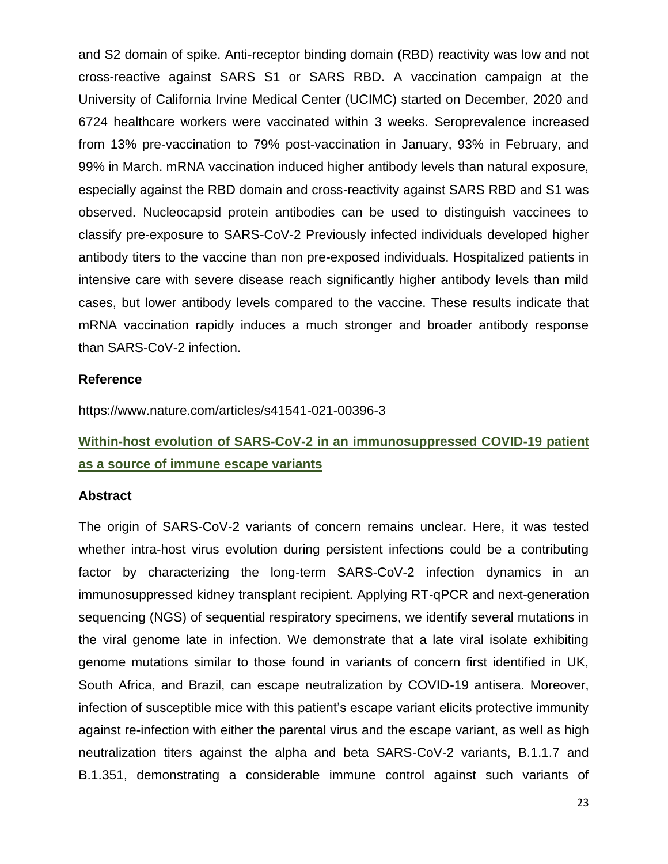and S2 domain of spike. Anti-receptor binding domain (RBD) reactivity was low and not cross-reactive against SARS S1 or SARS RBD. A vaccination campaign at the University of California Irvine Medical Center (UCIMC) started on December, 2020 and 6724 healthcare workers were vaccinated within 3 weeks. Seroprevalence increased from 13% pre-vaccination to 79% post-vaccination in January, 93% in February, and 99% in March. mRNA vaccination induced higher antibody levels than natural exposure, especially against the RBD domain and cross-reactivity against SARS RBD and S1 was observed. Nucleocapsid protein antibodies can be used to distinguish vaccinees to classify pre-exposure to SARS-CoV-2 Previously infected individuals developed higher antibody titers to the vaccine than non pre-exposed individuals. Hospitalized patients in intensive care with severe disease reach significantly higher antibody levels than mild cases, but lower antibody levels compared to the vaccine. These results indicate that mRNA vaccination rapidly induces a much stronger and broader antibody response than SARS-CoV-2 infection.

#### **Reference**

<https://www.nature.com/articles/s41541-021-00396-3>

# **Within-host evolution of SARS-CoV-2 in an immunosuppressed COVID-19 patient as a source of immune escape variants**

#### **Abstract**

The origin of SARS-CoV-2 variants of concern remains unclear. Here, it was tested whether intra-host virus evolution during persistent infections could be a contributing factor by characterizing the long-term SARS-CoV-2 infection dynamics in an immunosuppressed kidney transplant recipient. Applying RT-qPCR and next-generation sequencing (NGS) of sequential respiratory specimens, we identify several mutations in the viral genome late in infection. We demonstrate that a late viral isolate exhibiting genome mutations similar to those found in variants of concern first identified in UK, South Africa, and Brazil, can escape neutralization by COVID-19 antisera. Moreover, infection of susceptible mice with this patient's escape variant elicits protective immunity against re-infection with either the parental virus and the escape variant, as well as high neutralization titers against the alpha and beta SARS-CoV-2 variants, B.1.1.7 and B.1.351, demonstrating a considerable immune control against such variants of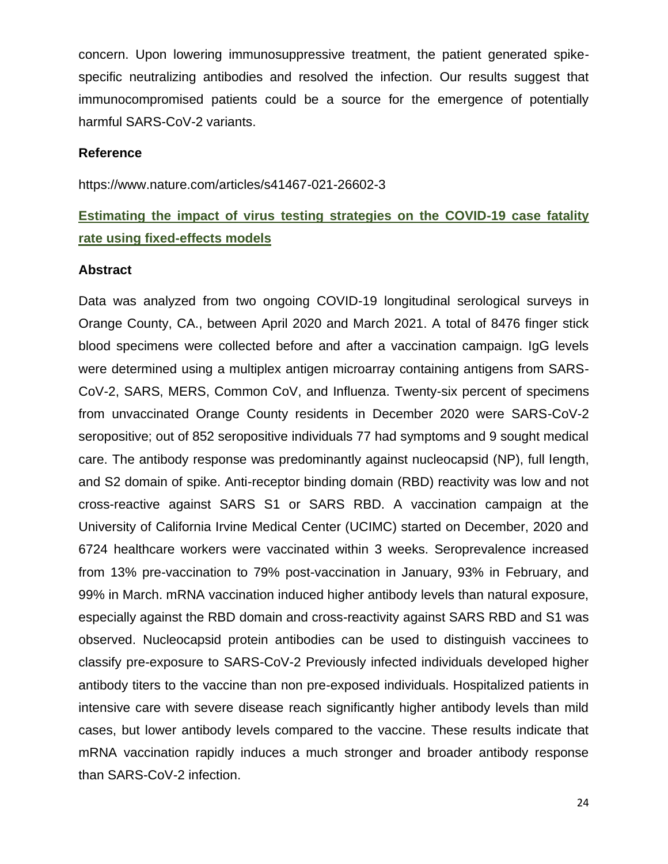concern. Upon lowering immunosuppressive treatment, the patient generated spikespecific neutralizing antibodies and resolved the infection. Our results suggest that immunocompromised patients could be a source for the emergence of potentially harmful SARS-CoV-2 variants.

#### **Reference**

https://www.nature.com/articles/s41467-021-26602-3

# **Estimating the impact of virus testing strategies on the COVID-19 case fatality rate using fixed-effects models**

#### **Abstract**

Data was analyzed from two ongoing COVID-19 longitudinal serological surveys in Orange County, CA., between April 2020 and March 2021. A total of 8476 finger stick blood specimens were collected before and after a vaccination campaign. IgG levels were determined using a multiplex antigen microarray containing antigens from SARS-CoV-2, SARS, MERS, Common CoV, and Influenza. Twenty-six percent of specimens from unvaccinated Orange County residents in December 2020 were SARS-CoV-2 seropositive; out of 852 seropositive individuals 77 had symptoms and 9 sought medical care. The antibody response was predominantly against nucleocapsid (NP), full length, and S2 domain of spike. Anti-receptor binding domain (RBD) reactivity was low and not cross-reactive against SARS S1 or SARS RBD. A vaccination campaign at the University of California Irvine Medical Center (UCIMC) started on December, 2020 and 6724 healthcare workers were vaccinated within 3 weeks. Seroprevalence increased from 13% pre-vaccination to 79% post-vaccination in January, 93% in February, and 99% in March. mRNA vaccination induced higher antibody levels than natural exposure, especially against the RBD domain and cross-reactivity against SARS RBD and S1 was observed. Nucleocapsid protein antibodies can be used to distinguish vaccinees to classify pre-exposure to SARS-CoV-2 Previously infected individuals developed higher antibody titers to the vaccine than non pre-exposed individuals. Hospitalized patients in intensive care with severe disease reach significantly higher antibody levels than mild cases, but lower antibody levels compared to the vaccine. These results indicate that mRNA vaccination rapidly induces a much stronger and broader antibody response than SARS-CoV-2 infection.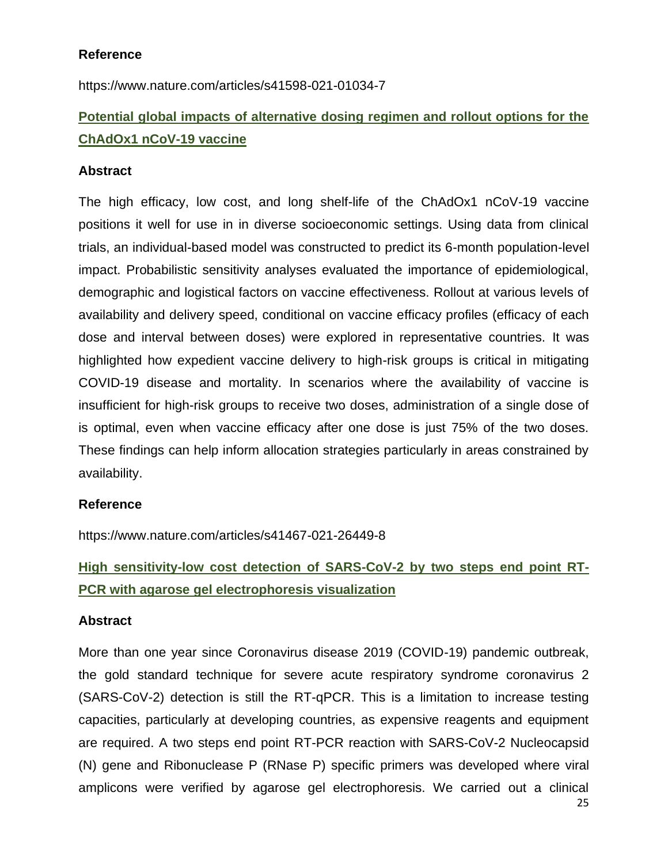# **Reference**

https://www.nature.com/articles/s41598-021-01034-7

# **Potential global impacts of alternative dosing regimen and rollout options for the ChAdOx1 nCoV-19 vaccine**

### **Abstract**

The high efficacy, low cost, and long shelf-life of the ChAdOx1 nCoV-19 vaccine positions it well for use in in diverse socioeconomic settings. Using data from clinical trials, an individual-based model was constructed to predict its 6-month population-level impact. Probabilistic sensitivity analyses evaluated the importance of epidemiological, demographic and logistical factors on vaccine effectiveness. Rollout at various levels of availability and delivery speed, conditional on vaccine efficacy profiles (efficacy of each dose and interval between doses) were explored in representative countries. It was highlighted how expedient vaccine delivery to high-risk groups is critical in mitigating COVID-19 disease and mortality. In scenarios where the availability of vaccine is insufficient for high-risk groups to receive two doses, administration of a single dose of is optimal, even when vaccine efficacy after one dose is just 75% of the two doses. These findings can help inform allocation strategies particularly in areas constrained by availability.

## **Reference**

https://www.nature.com/articles/s41467-021-26449-8

# **High sensitivity-low cost detection of SARS-CoV-2 by two steps end point RT-PCR with agarose gel electrophoresis visualization**

#### **Abstract**

More than one year since Coronavirus disease 2019 (COVID-19) pandemic outbreak, the gold standard technique for severe acute respiratory syndrome coronavirus 2 (SARS-CoV-2) detection is still the RT-qPCR. This is a limitation to increase testing capacities, particularly at developing countries, as expensive reagents and equipment are required. A two steps end point RT-PCR reaction with SARS-CoV-2 Nucleocapsid (N) gene and Ribonuclease P (RNase P) specific primers was developed where viral amplicons were verified by agarose gel electrophoresis. We carried out a clinical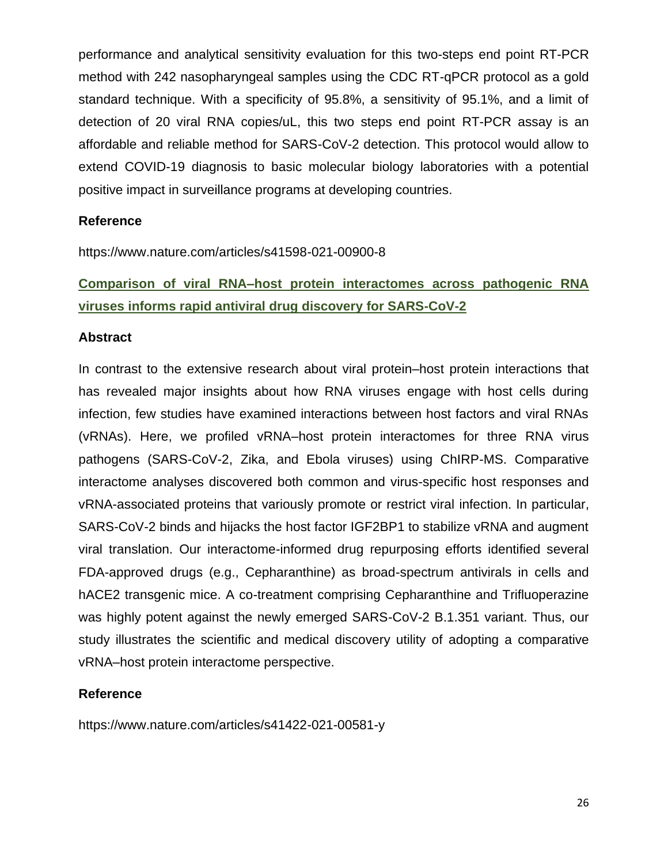performance and analytical sensitivity evaluation for this two-steps end point RT-PCR method with 242 nasopharyngeal samples using the CDC RT-qPCR protocol as a gold standard technique. With a specificity of 95.8%, a sensitivity of 95.1%, and a limit of detection of 20 viral RNA copies/uL, this two steps end point RT-PCR assay is an affordable and reliable method for SARS-CoV-2 detection. This protocol would allow to extend COVID-19 diagnosis to basic molecular biology laboratories with a potential positive impact in surveillance programs at developing countries.

### **Reference**

https://www.nature.com/articles/s41598-021-00900-8

# **Comparison of viral RNA–host protein interactomes across pathogenic RNA viruses informs rapid antiviral drug discovery for SARS-CoV-2**

#### **Abstract**

In contrast to the extensive research about viral protein–host protein interactions that has revealed major insights about how RNA viruses engage with host cells during infection, few studies have examined interactions between host factors and viral RNAs (vRNAs). Here, we profiled vRNA–host protein interactomes for three RNA virus pathogens (SARS-CoV-2, Zika, and Ebola viruses) using ChIRP-MS. Comparative interactome analyses discovered both common and virus-specific host responses and vRNA-associated proteins that variously promote or restrict viral infection. In particular, SARS-CoV-2 binds and hijacks the host factor IGF2BP1 to stabilize vRNA and augment viral translation. Our interactome-informed drug repurposing efforts identified several FDA-approved drugs (e.g., Cepharanthine) as broad-spectrum antivirals in cells and hACE2 transgenic mice. A co-treatment comprising Cepharanthine and Trifluoperazine was highly potent against the newly emerged SARS-CoV-2 B.1.351 variant. Thus, our study illustrates the scientific and medical discovery utility of adopting a comparative vRNA–host protein interactome perspective.

## **Reference**

https://www.nature.com/articles/s41422-021-00581-y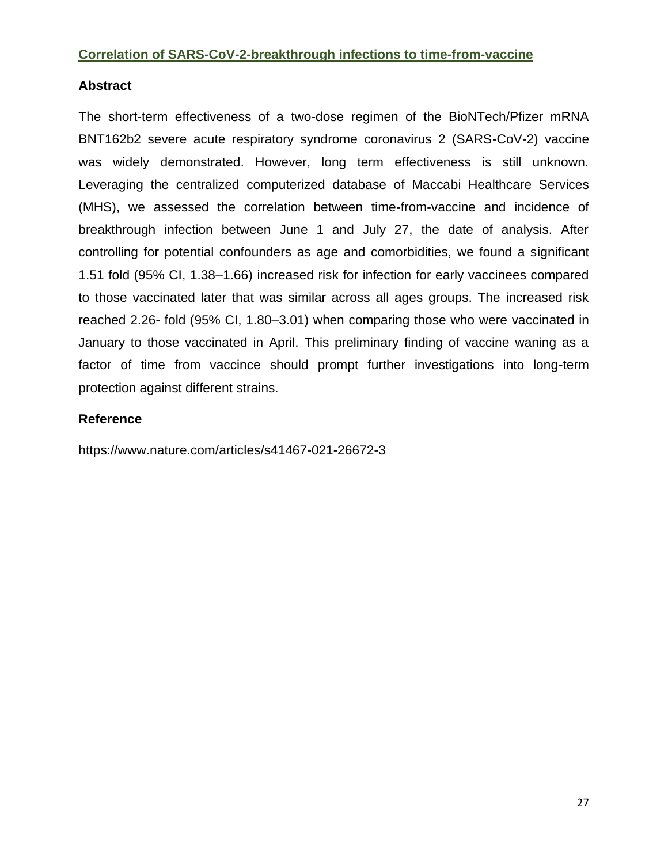## **Correlation of SARS-CoV-2-breakthrough infections to time-from-vaccine**

# **Abstract**

The short-term effectiveness of a two-dose regimen of the BioNTech/Pfizer mRNA BNT162b2 severe acute respiratory syndrome coronavirus 2 (SARS-CoV-2) vaccine was widely demonstrated. However, long term effectiveness is still unknown. Leveraging the centralized computerized database of Maccabi Healthcare Services (MHS), we assessed the correlation between time-from-vaccine and incidence of breakthrough infection between June 1 and July 27, the date of analysis. After controlling for potential confounders as age and comorbidities, we found a significant 1.51 fold (95% CI, 1.38–1.66) increased risk for infection for early vaccinees compared to those vaccinated later that was similar across all ages groups. The increased risk reached 2.26- fold (95% CI, 1.80–3.01) when comparing those who were vaccinated in January to those vaccinated in April. This preliminary finding of vaccine waning as a factor of time from vaccince should prompt further investigations into long-term protection against different strains.

# **Reference**

https://www.nature.com/articles/s41467-021-26672-3